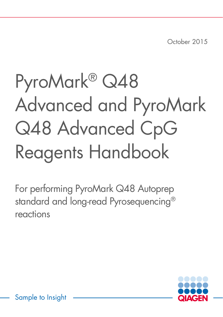October 2015

# PyroMark® Q48 Advanced and PyroMark Q48 Advanced CpG Reagents Handbook

For performing PyroMark Q48 Autoprep standard and long-read Pyrosequencing® reactions

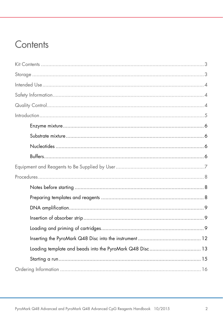# Contents

| Loading template and beads into the PyroMark Q48 Disc 13 |
|----------------------------------------------------------|
|                                                          |
|                                                          |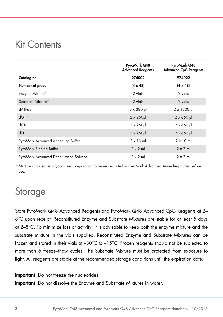### <span id="page-2-0"></span>Kit Contents

|                                         | PyroMark Q48<br><b>Advanced Reagents</b> | PyroMark Q48<br><b>Advanced CpG Reagents</b> |
|-----------------------------------------|------------------------------------------|----------------------------------------------|
| Catalog no.                             | 974002                                   | 974022                                       |
| Number of preps                         | $(4 \times 48)$                          | $(4 \times 48)$                              |
| Enzyme Mixture*                         | 2 vials                                  | 2 vials                                      |
| Substrate Mixture*                      | 2 vials                                  | 2 vials                                      |
| $dATP\alpha S$                          | $2 \times 380$ µ                         | $2 \times 1200$ µ                            |
| dGTP                                    | $2 \times 260$ µ                         | $2 \times 660$ µ                             |
| dCTP                                    | $2 \times 260$ µ                         | $2 \times 660$ µ                             |
| dTTP                                    | $2 \times 260$ µ                         | $2 \times 660$ µ                             |
| PyroMark Advanced Annealing Buffer      | $2 \times 10$ ml                         | $2 \times 10$ ml                             |
| PyroMark Binding Buffer                 | $2 \times 2$ ml                          | $2 \times 2$ ml                              |
| PyroMark Advanced Denaturation Solution | $2 \times 2$ ml                          | $2 \times 2$ m                               |

\* Mixture supplied as a lyophilized preparation to be reconstituted in PyroMark Advanced Annealing Buffer before use.

# <span id="page-2-1"></span>**Storage**

Store PyroMark Q48 Advanced Reagents and PyroMark Q48 Advanced CpG Reagents at 2– 8°C upon receipt. Reconstituted Enzyme and Substrate Mixtures are stable for at least 5 days at 2–8°C. To minimize loss of activity, it is advisable to keep both the enzyme mixture and the substrate mixture in the vials supplied. Reconstituted Enzyme and Substrate Mixtures can be frozen and stored in their vials at –30°C to –15°C. Frozen reagents should not be subjected to more than 6 freeze–thaw cycles. The Substrate Mixture must be protected from exposure to light. All reagents are stable at the recommended storage conditions until the expiration date.

Important: Do not freeze the nucleotides.

Important: Do not dissolve the Enzyme and Substrate Mixtures in water.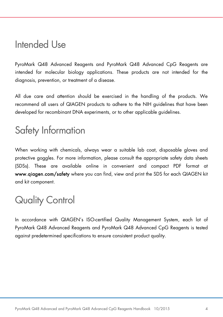### <span id="page-3-0"></span>Intended Use

PyroMark Q48 Advanced Reagents and PyroMark Q48 Advanced CpG Reagents are intended for molecular biology applications. These products are not intended for the diagnosis, prevention, or treatment of a disease.

All due care and attention should be exercised in the handling of the products. We recommend all users of QIAGEN products to adhere to the NIH guidelines that have been developed for recombinant DNA experiments, or to other applicable guidelines.

# <span id="page-3-1"></span>Safety Information

When working with chemicals, always wear a suitable lab coat, disposable gloves and protective goggles. For more information, please consult the appropriate safety data sheets (SDSs). These are available online in convenient and compact PDF format at www.qiagen.com/safety where you can find, view and print the SDS for each QIAGEN kit and kit component.

# <span id="page-3-2"></span>Quality Control

In accordance with QIAGEN's ISO-certified Quality Management System, each lot of PyroMark Q48 Advanced Reagents and PyroMark Q48 Advanced CpG Reagents is tested against predetermined specifications to ensure consistent product quality.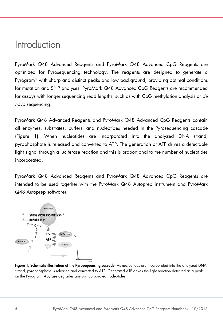### <span id="page-4-0"></span>Introduction

PyroMark Q48 Advanced Reagents and PyroMark Q48 Advanced CpG Reagents are optimized for Pyrosequencing technology. The reagents are designed to generate a Pyrogram® with sharp and distinct peaks and low background, providing optimal conditions for mutation and SNP analyses. PyroMark Q48 Advanced CpG Reagents are recommended for assays with longer sequencing read lengths, such as with CpG methylation analysis or *de novo* sequencing.

PyroMark Q48 Advanced Reagents and PyroMark Q48 Advanced CpG Reagents contain all enzymes, substrates, buffers, and nucleotides needed in the Pyrosequencing cascade (Figure 1). When nucleotides are incorporated into the analyzed DNA strand, pyrophosphate is released and converted to ATP. The generation of ATP drives a detectable light signal through a luciferase reaction and this is proportional to the number of nucleotides incorporated.

PyroMark Q48 Advanced Reagents and PyroMark Q48 Advanced CpG Reagents are intended to be used together with the PyroMark Q48 Autoprep instrument and PyroMark Q48 Autoprep software).



Figure 1. Schematic illustration of the Pyrosequencing cascade. As nucleotides are incorporated into the analyzed DNA strand, pyrophosphate is released and converted to ATP. Generated ATP drives the light reaction detected as a peak on the Pyrogram. Apyrase degrades any unincorporated nucleotides.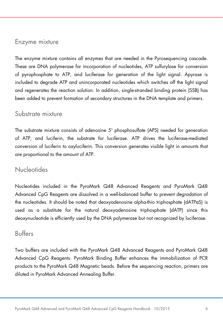#### <span id="page-5-0"></span>Enzyme mixture

The enzyme mixture contains all enzymes that are needed in the Pyrosequencing cascade. These are DNA polymerase for incorporation of nucleotides, ATP sulfurylase for conversion of pyrophosphate to ATP, and luciferase for generation of the light signal. Apyrase is included to degrade ATP and unincorporated nucleotides which switches off the light signal and regenerates the reaction solution. In addition, single-stranded binding protein (SSB) has been added to prevent formation of secondary structures in the DNA template and primers.

### <span id="page-5-1"></span>Substrate mixture

The substrate mixture consists of adenosine 5' phosphosulfate (APS) needed for generation of ATP, and luciferin, the substrate for luciferase. ATP drives the luciferase-mediated conversion of luciferin to oxyluciferin. This conversion generates visible light in amounts that are proportional to the amount of ATP.

### <span id="page-5-2"></span>**Nucleotides**

Nucleotides included in the PyroMark Q48 Advanced Reagents and PyroMark Q48 Advanced CpG Reagents are dissolved in a well-balanced buffer to prevent degradation of the nucleotides. It should be noted that deoxyadenosine alpha-thio triphosphate (dATPαS) is used as a substitute for the natural deoxyadenosine triphosphate (dATP) since this deoxynucleotide is efficiently used by the DNA polymerase but not recognized by luciferase.

### <span id="page-5-3"></span>Buffers

Two buffers are included with the PyroMark Q48 Advanced Reagents and PyroMark Q48 Advanced CpG Reagents. PyroMark Binding Buffer enhances the immobilization of PCR products to the PyroMark Q48 Magnetic beads. Before the sequencing reaction, primers are diluted in PyroMark Advanced Annealing Buffer.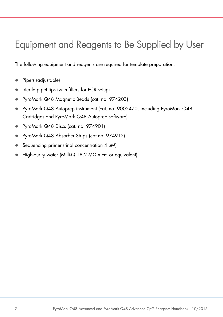# <span id="page-6-0"></span>Equipment and Reagents to Be Supplied by User

The following equipment and reagents are required for template preparation.

- Pipets (adjustable)
- Sterile pipet tips (with filters for PCR setup)
- PyroMark Q48 Magnetic Beads (cat. no. 974203)
- PyroMark Q48 Autoprep instrument (cat. no. 9002470, including PyroMark Q48 Cartridges and PyroMark Q48 Autoprep software)
- PyroMark Q48 Discs (cat. no. 974901)
- PyroMark Q48 Absorber Strips (cat.no. 974912)
- Sequencing primer (final concentration  $4 \mu M$ )
- $\bullet$  High-purity water (Milli-Q 18.2 M $\Omega$  x cm or equivalent)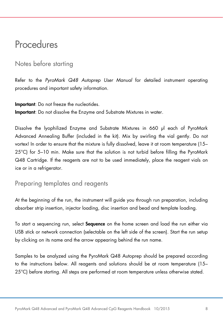### <span id="page-7-0"></span>**Procedures**

### <span id="page-7-1"></span>Notes before starting

Refer to the *PyroMark Q48 Autoprep User Manual* for detailed instrument operating procedures and important safety information.

Important: Do not freeze the nucleotides. Important: Do not dissolve the Enzyme and Substrate Mixtures in water.

Dissolve the lyophilized Enzyme and Substrate Mixtures in 660 µl each of PyroMark Advanced Annealing Buffer (included in the kit). Mix by swirling the vial gently. Do not vortex! In order to ensure that the mixture is fully dissolved, leave it at room temperature (15– 25°C) for 5–10 min. Make sure that the solution is not turbid before filling the PyroMark Q48 Cartridge. If the reagents are not to be used immediately, place the reagent vials on ice or in a refrigerator.

### <span id="page-7-2"></span>Preparing templates and reagents

At the beginning of the run, the instrument will guide you through run preparation, including absorber strip insertion, injector loading, disc insertion and bead and template loading.

To start a sequencing run, select **Sequence** on the home screen and load the run either via USB stick or network connection (selectable on the left side of the screen). Start the run setup by clicking on its name and the arrow appearing behind the run name.

Samples to be analyzed using the PyroMark Q48 Autoprep should be prepared according to the instructions below. All reagents and solutions should be at room temperature (15– 25°C) before starting. All steps are performed at room temperature unless otherwise stated.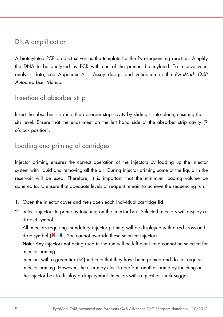### <span id="page-8-0"></span>DNA amplification

A biotinylated PCR product serves as the template for the Pyrosequencing reaction. Amplify the DNA to be analyzed by PCR with one of the primers biotinylated. To receive valid analysis data, see Appendix A – Assay design and validation in the *PyroMark Q48 Autoprep User Manual*.

### <span id="page-8-1"></span>Insertion of absorber strip

Insert the absorber strip into the absorber strip cavity by sliding it into place, ensuring that it sits level. Ensure that the ends meet on the left hand side of the absorber strip cavity (9 o'clock position).

### <span id="page-8-2"></span>Loading and priming of cartridges

Injector priming ensures the correct operation of the injectors by loading up the injector system with liquid and removing all the air. During injector priming some of the liquid in the reservoir will be used. Therefore, it is important that the minimum loading volume be adhered to, to ensure that adequate levels of reagent remain to achieve the sequencing run.

- 1. Open the injector cover and then open each individual cartridge lid.
- <span id="page-8-3"></span>2. Select injectors to prime by touching on the injector box. Selected injectors will display a droplet symbol.

All injectors requiring mandatory injector priming will be displayed with a red cross and drop symbol  $(X \bullet)$ . You cannot override these selected injectors.

Note: Any injectors not being used in the run will be left blank and cannot be selected for injector priming.

Injectors with a green tick  $(\checkmark)$  indicate that they have been primed and do not require injector priming. However, the user may elect to perform another prime by touching on the injector box to display a drop symbol. Injectors with a question mark suggest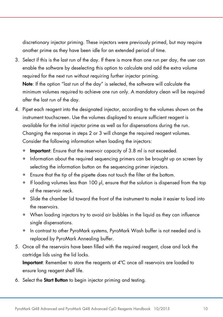discretionary injector priming. These injectors were previously primed, but may require another prime as they have been idle for an extended period of time.

- <span id="page-9-0"></span>3. Select if this is the last run of the day. If there is more than one run per day, the user can enable the software by deselecting this option to calculate and add the extra volume required for the next run without requiring further injector priming. Note: If the option "last run of the day" is selected, the software will calculate the minimum volumes required to achieve one run only. A mandatory clean will be required after the last run of the day.
- 4. Pipet each reagent into the designated injector, according to the volumes shown on the instrument touchscreen. Use the volumes displayed to ensure sufficient reagent is available for the initial injector prime as well as for dispensations during the run. Changing the response in steps [2](#page-8-3) or [3](#page-9-0) will change the required reagent volumes. Consider the following information when loading the injectors:
	- **Important:** Ensure that the reservoir capacity of 3.8 ml is not exceeded.
	- Information about the required sequencing primers can be brought up on screen by selecting the information button on the sequencing primer injectors.
	- Ensure that the tip of the pipette does not touch the filter at the bottom.
	- $\bullet$  If loading volumes less than 100 µl, ensure that the solution is dispensed from the top of the reservoir neck.
	- Slide the chamber lid toward the front of the instrument to make it easier to load into the reservoirs.
	- When loading injectors try to avoid air bubbles in the liquid as they can influence single dispensations.
	- In contrast to other PyroMark systems, PyroMark Wash buffer is not needed and is replaced by PyroMark Annealing buffer.
- 5. Once all the reservoirs have been filled with the required reagent, close and lock the cartridge lids using the lid locks.

Important: Remember to store the reagents at 4ºC once all reservoirs are loaded to ensure long reagent shelf life.

6. Select the Start Button to begin injector priming and testing.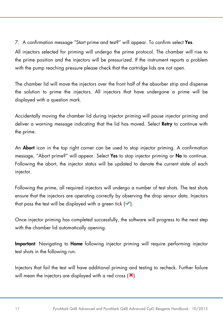7. A confirmation message "Start prime and test?" will appear. To confirm select Yes.

All injectors selected for priming will undergo the prime protocol. The chamber will rise to the prime position and the injectors will be pressurized. If the instrument reports a problem with the pump reaching pressure please check that the cartridge lids are not open.

The chamber lid will move the injectors over the front half of the absorber strip and dispense the solution to prime the injectors. All injectors that have undergone a prime will be displayed with a question mark.

Accidentally moving the chamber lid during injector priming will pause injector priming and deliver a warning message indicating that the lid has moved. Select Retry to continue with the prime.

An **Abort** icon in the top right corner can be used to stop injector priming. A confirmation message, "Abort prime?" will appear. Select Yes to stop injector priming or No to continue. Following the abort, the injector status will be updated to denote the current state of each injector.

Following the prime, all required injectors will undergo a number of test shots. The test shots ensure that the injectors are operating correctly by observing the drop sensor data. Injectors that pass the test will be displayed with a green tick  $(\checkmark)$ .

Once injector priming has completed successfully, the software will progress to the next step with the chamber lid automatically opening.

Important: Navigating to Home following injector priming will require performing injector test shots in the following run.

Injectors that fail the test will have additional priming and testing to recheck. Further failure will mean the injectors are displayed with a red cross  $(X)$ .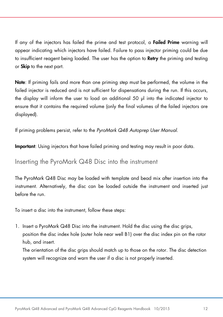If any of the injectors has failed the prime and test protocol, a **Failed Prime** warning will appear indicating which injectors have failed. Failure to pass injector priming could be due to insufficient reagent being loaded. The user has the option to **Retry** the priming and testing or **Skip** to the next part.

Note: If priming fails and more than one priming step must be performed, the volume in the failed injector is reduced and is not sufficient for dispensations during the run. If this occurs, the display will inform the user to load an additional 50 µl into the indicated injector to ensure that it contains the required volume (only the final volumes of the failed injectors are displayed).

If priming problems persist, refer to the *PyroMark Q48 Autoprep User Manual*.

Important: Using injectors that have failed priming and testing may result in poor data.

### <span id="page-11-0"></span>Inserting the PyroMark Q48 Disc into the instrument

The PyroMark Q48 Disc may be loaded with template and bead mix after insertion into the instrument. Alternatively, the disc can be loaded outside the instrument and inserted just before the run.

To insert a disc into the instrument, follow these steps:

1. Insert a PyroMark Q48 Disc into the instrument. Hold the disc using the disc grips, position the disc index hole (outer hole near well B1) over the disc index pin on the rotor hub, and insert.

The orientation of the disc grips should match up to those on the rotor. The disc detection system will recognize and warn the user if a disc is not properly inserted.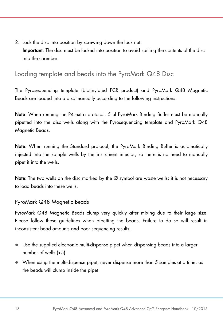2. Lock the disc into position by screwing down the lock nut. Important: The disc must be locked into position to avoid spilling the contents of the disc into the chamber.

### <span id="page-12-0"></span>Loading template and beads into the PyroMark Q48 Disc

The Pyrosequencing template (biotinylated PCR product) and PyroMark Q48 Magnetic Beads are loaded into a disc manually according to the following instructions.

Note: When running the P4 extra protocol, 5 μl PyroMark Binding Buffer must be manually pipetted into the disc wells along with the Pyrosequencing template and PyroMark Q48 Magnetic Beads.

Note: When running the Standard protocol, the PyroMark Binding Buffer is automatically injected into the sample wells by the instrument injector, so there is no need to manually pipet it into the wells.

**Note:** The two wells on the disc marked by the  $\varnothing$  symbol are waste wells; it is not necessary to load beads into these wells.

#### PyroMark Q48 Magnetic Beads

PyroMark Q48 Magnetic Beads clump very quickly after mixing due to their large size. Please follow these guidelines when pipetting the beads. Failure to do so will result in inconsistent bead amounts and poor sequencing results.

- Use the supplied electronic multi-dispense pipet when dispensing beads into a larger number of wells (>5)
- When using the multi-dispense pipet, never dispense more than 5 samples at a time, as the beads will clump inside the pipet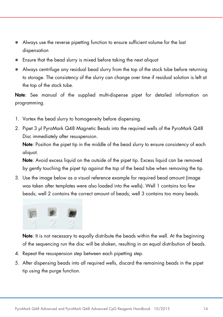- Always use the reverse pipetting function to ensure sufficient volume for the last dispensation
- Ensure that the bead slurry is mixed before taking the next aliquot
- Always centrifuge any residual bead slurry from the top of the stock tube before returning to storage. The consistency of the slurry can change over time if residual solution is left at the top of the stock tube.

Note: See manual of the supplied multi-dispense pipet for detailed information on programming.

- 1. Vortex the bead slurry to homogeneity before dispensing.
- 2. Pipet 3 μl PyroMark Q48 Magnetic Beads into the required wells of the PyroMark Q48 Disc immediately after resuspension.

Note: Position the pipet tip in the middle of the bead slurry to ensure consistency of each aliquot.

Note: Avoid excess liquid on the outside of the pipet tip. Excess liquid can be removed by gently touching the pipet tip against the top of the bead tube when removing the tip.

3. Use the image below as a visual reference example for required bead amount (image was taken after templates were also loaded into the wells). Well 1 contains too few beads; well 2 contains the correct amount of beads; well 3 contains too many beads.



Note: It is not necessary to equally distribute the beads within the well. At the beginning of the sequencing run the disc will be shaken, resulting in an equal distribution of beads.

- 4. Repeat the resuspension step between each pipetting step.
- 5. After dispensing beads into all required wells, discard the remaining beads in the pipet tip using the purge function.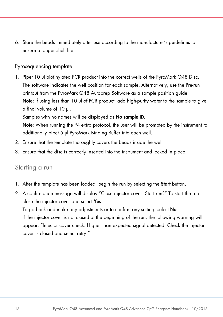6. Store the beads immediately after use according to the manufacturer's guidelines to ensure a longer shelf life.

#### Pyrosequencing template

1. Pipet 10 μl biotinylated PCR product into the correct wells of the PyroMark Q48 Disc. The software indicates the well position for each sample. Alternatively, use the Pre-run printout from the PyroMark Q48 Autoprep Software as a sample position guide. Note: If using less than 10 µl of PCR product, add high-purity water to the sample to give a final volume of 10 µl.

Samples with no names will be displayed as No sample ID.

Note: When running the P4 extra protocol, the user will be prompted by the instrument to additionally pipet 5 µl PyroMark Binding Buffer into each well.

- 2. Ensure that the template thoroughly covers the beads inside the well.
- <span id="page-14-0"></span>3. Ensure that the disc is correctly inserted into the instrument and locked in place.

#### Starting a run

- 1. After the template has been loaded, begin the run by selecting the Start button.
- 2. A confirmation message will display "Close injector cover. Start run?" To start the run close the injector cover and select Yes.

To go back and make any adjustments or to confirm any setting, select No.

If the injector cover is not closed at the beginning of the run, the following warning will appear: "Injector cover check. Higher than expected signal detected. Check the injector cover is closed and select retry."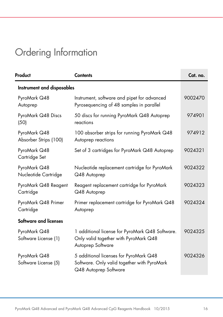# <span id="page-15-0"></span>Ordering Information

| Product                               | <b>Contents</b>                                                                                                | Cat. no. |  |  |
|---------------------------------------|----------------------------------------------------------------------------------------------------------------|----------|--|--|
| Instrument and disposables            |                                                                                                                |          |  |  |
| PyroMark Q48<br>Autoprep              | Instrument, software and pipet for advanced<br>Pyrosequencing of 48 samples in parallel                        | 9002470  |  |  |
| PyroMark Q48 Discs<br>(50)            | 50 discs for running PyroMark Q48 Autoprep<br>reactions                                                        | 974901   |  |  |
| PyroMark Q48<br>Absorber Strips (100) | 100 absorber strips for running PyroMark Q48<br>Autoprep reactions                                             | 974912   |  |  |
| PyroMark Q48<br>Cartridge Set         | Set of 3 cartridges for PyroMark Q48 Autoprep                                                                  | 9024321  |  |  |
| PyroMark Q48<br>Nucleotide Cartridge  | Nucleotide replacement cartridge for PyroMark<br>Q48 Autoprep                                                  | 9024322  |  |  |
| PyroMark Q48 Reagent<br>Cartridge     | Reagent replacement cartridge for PyroMark<br>Q48 Autoprep                                                     | 9024323  |  |  |
| PyroMark Q48 Primer<br>Cartridge      | Primer replacement cartridge for PyroMark Q48<br>Autoprep                                                      | 9024324  |  |  |
| Software and licenses                 |                                                                                                                |          |  |  |
| PyroMark Q48<br>Software License (1)  | 1 additional license for PyroMark Q48 Software.<br>Only valid together with PyroMark Q48<br>Autoprep Software  | 9024325  |  |  |
| PyroMark Q48<br>Software License (5)  | 5 additional licenses for PyroMark Q48<br>Software. Only valid together with PyroMark<br>Q48 Autoprep Software | 9024326  |  |  |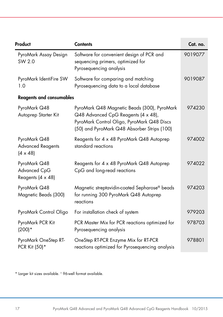| Product                                                     | <b>Contents</b>                                                                                                                                                                 | Cat. no. |
|-------------------------------------------------------------|---------------------------------------------------------------------------------------------------------------------------------------------------------------------------------|----------|
| PyroMark Assay Design<br>SW 2.0                             | Software for convenient design of PCR and<br>sequencing primers, optimized for<br>Pyrosequencing analysis                                                                       | 9019077  |
| PyroMark IdentiFire SW<br>1.0                               | Software for comparing and matching<br>Pyrosequencing data to a local database                                                                                                  | 9019087  |
| <b>Reagents and consumables</b>                             |                                                                                                                                                                                 |          |
| PyroMark Q48<br>Autoprep Starter Kit                        | PyroMark Q48 Magnetic Beads (300), PyroMark<br>Q48 Advanced CpG Reagents (4 x 48),<br>PyroMark Control Oligo, PyroMark Q48 Discs<br>(50) and PyroMark Q48 Absorber Strips (100) | 974230   |
| PyroMark Q48<br><b>Advanced Reagents</b><br>$(4 \times 48)$ | Reagents for 4 x 48 PyroMark Q48 Autoprep<br>standard reactions                                                                                                                 | 974002   |
| PyroMark Q48<br>Advanced CpG<br>Reagents (4 x 48)           | Reagents for 4 x 48 PyroMark Q48 Autoprep<br>CpG and long-read reactions                                                                                                        | 974022   |
| PyroMark Q48<br>Magnetic Beads (300)                        | Magnetic streptavidin-coated Sepharose® beads<br>for running 300 PyroMark Q48 Autoprep<br>reactions                                                                             | 974203   |
| PyroMark Control Oligo                                      | For installation check of system                                                                                                                                                | 979203   |
| PyroMark PCR Kit<br>$(200)*$                                | PCR Master Mix for PCR reactions optimized for<br>Pyrosequencing analysis                                                                                                       | 978703   |
| PyroMark OneStep RT-<br>PCR Kit (50)*                       | OneStep RT-PCR Enzyme Mix for RT-PCR<br>reactions optimized for Pyrosequencing analysis                                                                                         | 978801   |

\* Larger kit sizes available. † 96-well format available.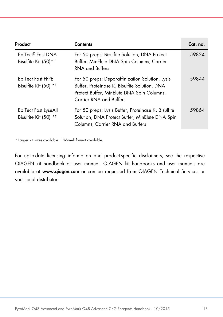| Product                                                   | Contents                                                                                                                                                                  | Cat. no. |
|-----------------------------------------------------------|---------------------------------------------------------------------------------------------------------------------------------------------------------------------------|----------|
| EpiTect® Fast DNA<br>Bisulfite Kit (50)* <sup>†</sup>     | For 50 preps: Bisulfite Solution, DNA Protect<br>Buffer, MinElute DNA Spin Columns, Carrier<br>RNA and Buffers                                                            | 59824    |
| EpiTect Fast FFPE<br>Bisulfite Kit (50) * <sup>†</sup>    | For 50 preps: Deparaffinization Solution, Lysis<br>Buffer, Proteinase K, Bisulfite Solution, DNA<br>Protect Buffer, MinElute DNA Spin Columns,<br>Carrier RNA and Buffers | 59844    |
| EpiTect Fast LyseAll<br>Bisulfite Kit (50) * <sup>†</sup> | For 50 preps: Lysis Buffer, Proteinase K, Bisulfite<br>Solution, DNA Protect Buffer, MinElute DNA Spin<br>Columns, Carrier RNA and Buffers                                | 59864    |

\* Larger kit sizes available. † 96-well format available.

For up-to-date licensing information and product-specific disclaimers, see the respective QIAGEN kit handbook or user manual. QIAGEN kit handbooks and user manuals are available at www.qiagen.com or can be requested from QIAGEN Technical Services or your local distributor.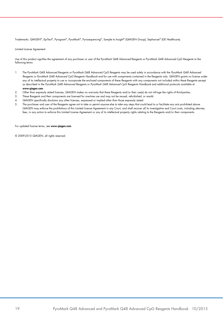Trademarks: QIAGEN®, EpiTect®, Pyrogram®, PyroMark®, Pyrosequencing®, Sample to Insight® (QIAGEN Group); Sepharose® (GE Healthcare).

Limited License Agreement

Use of this product signifies the agreement of any purchaser or user of the PyroMark Q48 Advanced Reagents or PyroMark Q48 Advanced CpG Reagents to the following terms:

- 1. The PyroMark Q48 Advanced Reagents or PyroMark Q48 Advanced CpG Reagents may be used solely in accordance with the *PyroMark Q48 Advanced Reagents or PyroMark Q48 Advanced CpG Reagents Handbook* and for use with components contained in the Reagents only. QIAGEN grants no license under any of its intellectual property to use or incorporate the enclosed components of these Reagents with any components not included within these Reagents except as described in the *PyroMark Q48 Advanced Reagents or PyroMark Q48 Advanced CpG Reagents Handbook* and additional protocols available at www.qiagen.com.
- 2. Other than expressly stated licenses, QIAGEN makes no warranty that these Reagents and/or their use(s) do not infringe the rights of third-parties.
- 3. These Reagents and their components are licensed for one-time use and may not be reused, refurbished, or resold.
- 4. QIAGEN specifically disclaims any other licenses, expressed or implied other than those expressly stated.
- 5. The purchaser and user of the Reagents agree not to take or permit anyone else to take any steps that could lead to or facilitate any acts prohibited above. QIAGEN may enforce the prohibitions of this Limited License Agreement in any Court, and shall recover all its investigative and Court costs, including attorney fees, in any action to enforce this Limited License Agreement or any of its intellectual property rights relating to the Reagents and/or their components.

For updated license terms, see www.aiagen.com.

© 2009-2015 QIAGEN, all rights reserved.